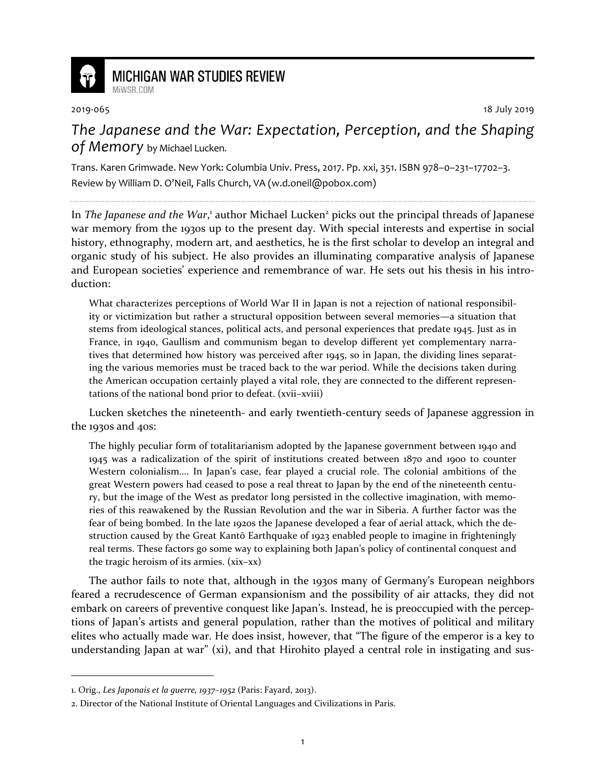

## **MICHIGAN WAR STUDIES REVIEW** MiWSR COM

2019-065 18 July 2019

*The Japanese and the War: Expectation, Perception, and the Shaping of Memory* by Michael Lucken.

Trans. Karen Grimwade. New York: Columbia Univ. Press, 2017. Pp. xxi, 351. ISBN 978–0–231–17702–3. Review by William D. O'Neil, Falls Church, VA (w.d.oneil@pobox.com)

In The Japanese and the War,<sup>1</sup> author Michael Lucken<sup>2</sup> picks out the principal threads of Japanese war memory from the 1930s up to the present day. With special interests and expertise in social history, ethnography, modern art, and aesthetics, he is the first scholar to develop an integral and organic study of his subject. He also provides an illuminating comparative analysis of Japanese and European societies' experience and remembrance of war. He sets out his thesis in his introduction:

What characterizes perceptions of World War II in Japan is not a rejection of national responsibility or victimization but rather a structural opposition between several memories—a situation that stems from ideological stances, political acts, and personal experiences that predate 1945. Just as in France, in 1940, Gaullism and communism began to develop different yet complementary narratives that determined how history was perceived after 1945, so in Japan, the dividing lines separating the various memories must be traced back to the war period. While the decisions taken during the American occupation certainly played a vital role, they are connected to the different representations of the national bond prior to defeat. (xvii–xviii)

Lucken sketches the nineteenth- and early twentieth-century seeds of Japanese aggression in the 1930s and 40s:

The highly peculiar form of totalitarianism adopted by the Japanese government between 1940 and 1945 was a radicalization of the spirit of institutions created between 1870 and 1900 to counter Western colonialism…. In Japan's case, fear played a crucial role. The colonial ambitions of the great Western powers had ceased to pose a real threat to Japan by the end of the nineteenth century, but the image of the West as predator long persisted in the collective imagination, with memories of this reawakened by the Russian Revolution and the war in Siberia. A further factor was the fear of being bombed. In the late 1920s the Japanese developed a fear of aerial attack, which the destruction caused by the Great Kantō Earthquake of 1923 enabled people to imagine in frighteningly real terms. These factors go some way to explaining both Japan's policy of continental conquest and the tragic heroism of its armies. (xix–xx)

The author fails to note that, although in the 1930s many of Germany's European neighbors feared a recrudescence of German expansionism and the possibility of air attacks, they did not embark on careers of preventive conquest like Japan's. Instead, he is preoccupied with the perceptions of Japan's artists and general population, rather than the motives of political and military elites who actually made war. He does insist, however, that "The figure of the emperor is a key to understanding Japan at war" (xi), and that Hirohito played a central role in instigating and sus-

1

<sup>1.</sup> Orig., *Les Japonais et la guerre, 1937–1952* (Paris: Fayard, 2013).

<sup>2.</sup> Director of the National Institute of Oriental Languages and Civilizations in Paris.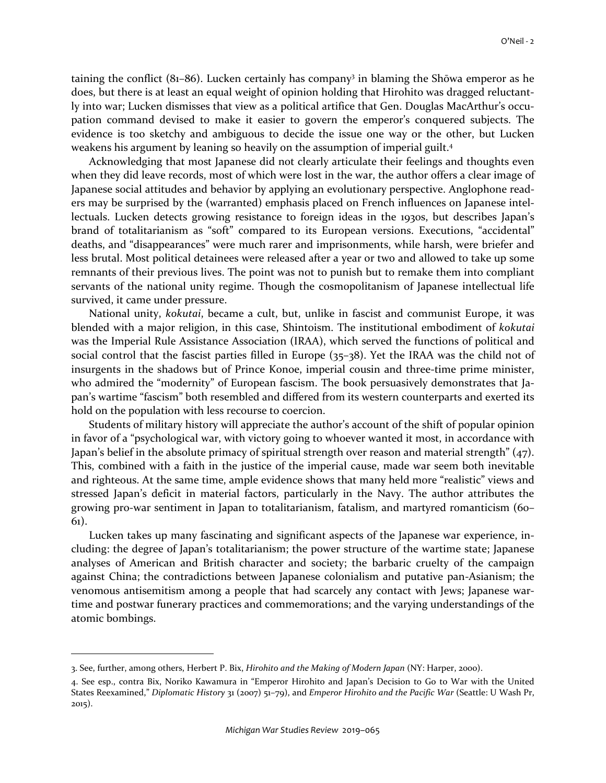taining the conflict (81–86). Lucken certainly has company<sup>3</sup> in blaming the Shōwa emperor as he does, but there is at least an equal weight of opinion holding that Hirohito was dragged reluctantly into war; Lucken dismisses that view as a political artifice that Gen. Douglas MacArthur's occupation command devised to make it easier to govern the emperor's conquered subjects. The evidence is too sketchy and ambiguous to decide the issue one way or the other, but Lucken weakens his argument by leaning so heavily on the assumption of imperial guilt.<sup>4</sup>

Acknowledging that most Japanese did not clearly articulate their feelings and thoughts even when they did leave records, most of which were lost in the war, the author offers a clear image of Japanese social attitudes and behavior by applying an evolutionary perspective. Anglophone readers may be surprised by the (warranted) emphasis placed on French influences on Japanese intellectuals. Lucken detects growing resistance to foreign ideas in the 1930s, but describes Japan's brand of totalitarianism as "soft" compared to its European versions. Executions, "accidental" deaths, and "disappearances" were much rarer and imprisonments, while harsh, were briefer and less brutal. Most political detainees were released after a year or two and allowed to take up some remnants of their previous lives. The point was not to punish but to remake them into compliant servants of the national unity regime. Though the cosmopolitanism of Japanese intellectual life survived, it came under pressure.

National unity, *kokutai*, became a cult, but, unlike in fascist and communist Europe, it was blended with a major religion, in this case, Shintoism. The institutional embodiment of *kokutai* was the Imperial Rule Assistance Association (IRAA), which served the functions of political and social control that the fascist parties filled in Europe (35–38). Yet the IRAA was the child not of insurgents in the shadows but of Prince Konoe, imperial cousin and three-time prime minister, who admired the "modernity" of European fascism. The book persuasively demonstrates that Japan's wartime "fascism" both resembled and differed from its western counterparts and exerted its hold on the population with less recourse to coercion.

Students of military history will appreciate the author's account of the shift of popular opinion in favor of a "psychological war, with victory going to whoever wanted it most, in accordance with Japan's belief in the absolute primacy of spiritual strength over reason and material strength" (47). This, combined with a faith in the justice of the imperial cause, made war seem both inevitable and righteous. At the same time, ample evidence shows that many held more "realistic" views and stressed Japan's deficit in material factors, particularly in the Navy. The author attributes the growing pro-war sentiment in Japan to totalitarianism, fatalism, and martyred romanticism (60– 61).

Lucken takes up many fascinating and significant aspects of the Japanese war experience, including: the degree of Japan's totalitarianism; the power structure of the wartime state; Japanese analyses of American and British character and society; the barbaric cruelty of the campaign against China; the contradictions between Japanese colonialism and putative pan-Asianism; the venomous antisemitism among a people that had scarcely any contact with Jews; Japanese wartime and postwar funerary practices and commemorations; and the varying understandings of the atomic bombings.

-

<sup>3.</sup> See, further, among others, Herbert P. Bix, *Hirohito and the Making of Modern Japan* (NY: Harper, 2000).

<sup>4.</sup> See esp., contra Bix, Noriko Kawamura in "Emperor Hirohito and Japan's Decision to Go to War with the United States Reexamined," *Diplomatic History* 31 (2007) 51–79), and *Emperor Hirohito and the Pacific War* (Seattle: U Wash Pr, 2015).